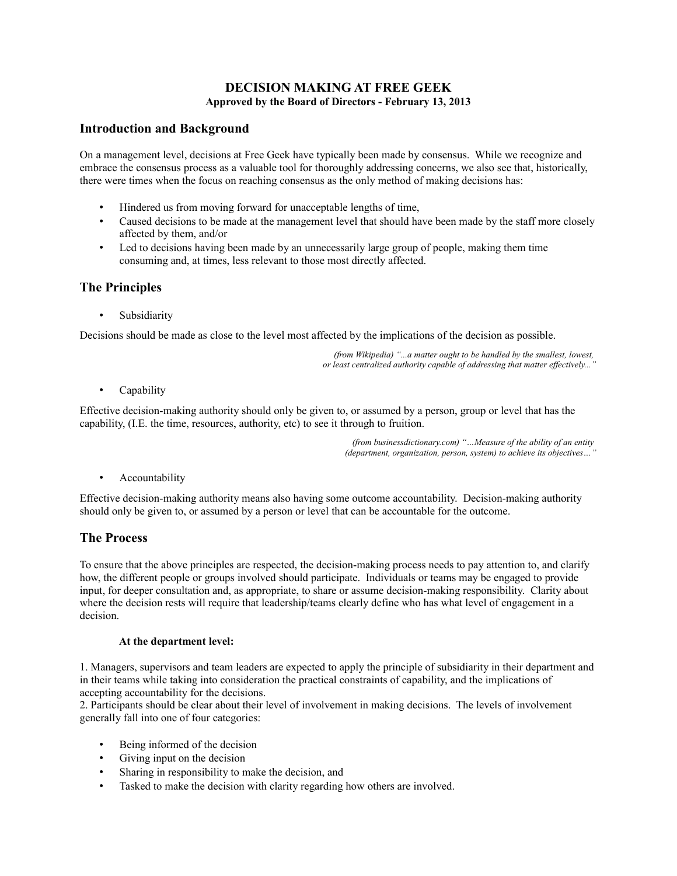### **DECISION MAKING AT FREE GEEK Approved by the Board of Directors - February 13, 2013**

## **Introduction and Background**

On a management level, decisions at Free Geek have typically been made by consensus. While we recognize and embrace the consensus process as a valuable tool for thoroughly addressing concerns, we also see that, historically, there were times when the focus on reaching consensus as the only method of making decisions has:

- Hindered us from moving forward for unacceptable lengths of time,
- Caused decisions to be made at the management level that should have been made by the staff more closely affected by them, and/or
- Led to decisions having been made by an unnecessarily large group of people, making them time consuming and, at times, less relevant to those most directly affected.

# **The Principles**

**Subsidiarity** 

Decisions should be made as close to the level most affected by the implications of the decision as possible.

*(from Wikipedia) "...a matter ought to be handled by the smallest, lowest, or least centralized authority capable of addressing that matter effectively..."*

• Capability

Effective decision-making authority should only be given to, or assumed by a person, group or level that has the capability, (I.E. the time, resources, authority, etc) to see it through to fruition.

> *(from businessdictionary.com) "…Measure of the ability of an entity (department, organization, person, system) to achieve its objectives…"*

• Accountability

Effective decision-making authority means also having some outcome accountability. Decision-making authority should only be given to, or assumed by a person or level that can be accountable for the outcome.

## **The Process**

To ensure that the above principles are respected, the decision-making process needs to pay attention to, and clarify how, the different people or groups involved should participate. Individuals or teams may be engaged to provide input, for deeper consultation and, as appropriate, to share or assume decision-making responsibility. Clarity about where the decision rests will require that leadership/teams clearly define who has what level of engagement in a decision.

#### **At the department level:**

1. Managers, supervisors and team leaders are expected to apply the principle of subsidiarity in their department and in their teams while taking into consideration the practical constraints of capability, and the implications of accepting accountability for the decisions.

2. Participants should be clear about their level of involvement in making decisions. The levels of involvement generally fall into one of four categories:

- Being informed of the decision
- Giving input on the decision
- Sharing in responsibility to make the decision, and
- Tasked to make the decision with clarity regarding how others are involved.